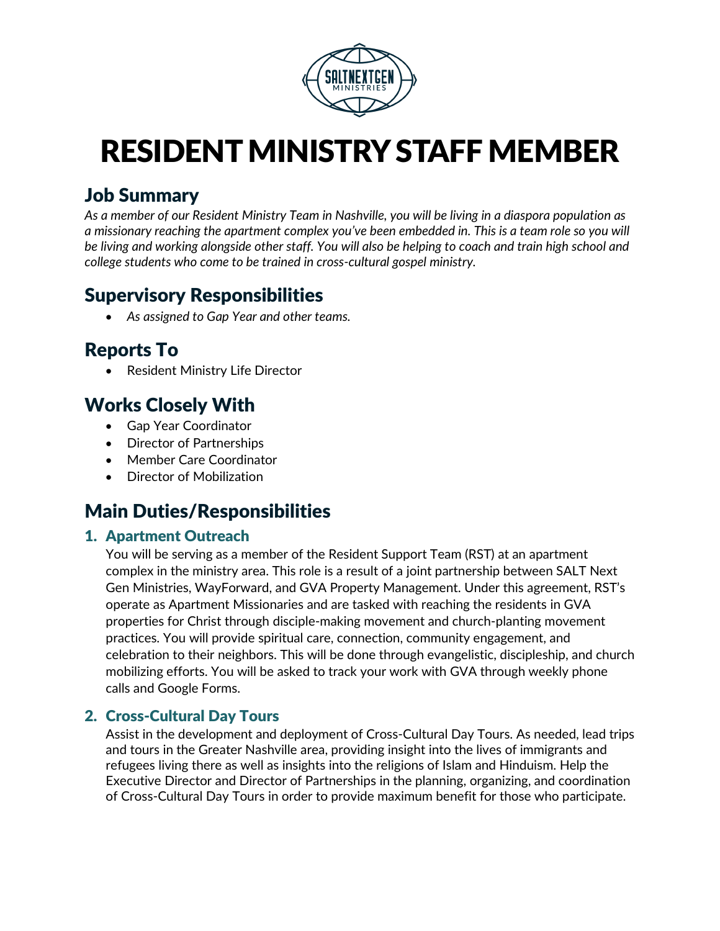

# RESIDENT MINISTRY STAFF MEMBER

## Job Summary

*As a member of our Resident Ministry Team in Nashville, you will be living in a diaspora population as a missionary reaching the apartment complex you've been embedded in. This is a team role so you will be living and working alongside other staff. You will also be helping to coach and train high school and college students who come to be trained in cross-cultural gospel ministry.*

# Supervisory Responsibilities

• *As assigned to Gap Year and other teams.*

# Reports To

• Resident Ministry Life Director

# Works Closely With

- Gap Year Coordinator
- Director of Partnerships
- Member Care Coordinator
- Director of Mobilization

# Main Duties/Responsibilities

#### 1. Apartment Outreach

You will be serving as a member of the Resident Support Team (RST) at an apartment complex in the ministry area. This role is a result of a joint partnership between SALT Next Gen Ministries, WayForward, and GVA Property Management. Under this agreement, RST's operate as Apartment Missionaries and are tasked with reaching the residents in GVA properties for Christ through disciple-making movement and church-planting movement practices. You will provide spiritual care, connection, community engagement, and celebration to their neighbors. This will be done through evangelistic, discipleship, and church mobilizing efforts. You will be asked to track your work with GVA through weekly phone calls and Google Forms.

#### 2. Cross-Cultural Day Tours

Assist in the development and deployment of Cross-Cultural Day Tours. As needed, lead trips and tours in the Greater Nashville area, providing insight into the lives of immigrants and refugees living there as well as insights into the religions of Islam and Hinduism. Help the Executive Director and Director of Partnerships in the planning, organizing, and coordination of Cross-Cultural Day Tours in order to provide maximum benefit for those who participate.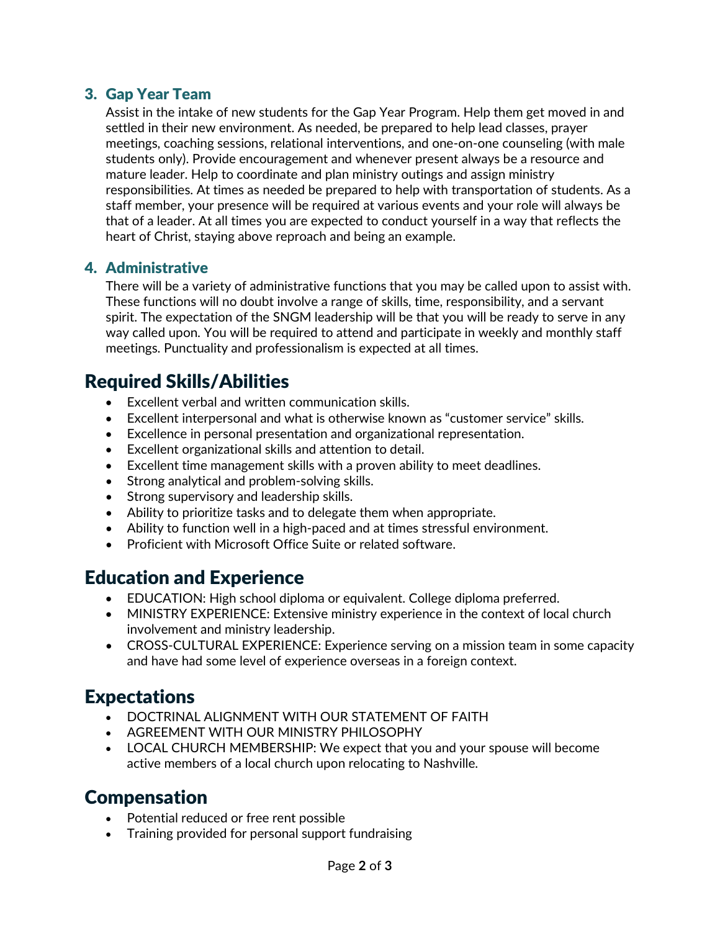#### 3. Gap Year Team

Assist in the intake of new students for the Gap Year Program. Help them get moved in and settled in their new environment. As needed, be prepared to help lead classes, prayer meetings, coaching sessions, relational interventions, and one-on-one counseling (with male students only). Provide encouragement and whenever present always be a resource and mature leader. Help to coordinate and plan ministry outings and assign ministry responsibilities. At times as needed be prepared to help with transportation of students. As a staff member, your presence will be required at various events and your role will always be that of a leader. At all times you are expected to conduct yourself in a way that reflects the heart of Christ, staying above reproach and being an example.

#### 4. Administrative

There will be a variety of administrative functions that you may be called upon to assist with. These functions will no doubt involve a range of skills, time, responsibility, and a servant spirit. The expectation of the SNGM leadership will be that you will be ready to serve in any way called upon. You will be required to attend and participate in weekly and monthly staff meetings. Punctuality and professionalism is expected at all times.

## Required Skills/Abilities

- Excellent verbal and written communication skills.
- Excellent interpersonal and what is otherwise known as "customer service" skills.
- Excellence in personal presentation and organizational representation.
- Excellent organizational skills and attention to detail.
- Excellent time management skills with a proven ability to meet deadlines.
- Strong analytical and problem-solving skills.
- Strong supervisory and leadership skills.
- Ability to prioritize tasks and to delegate them when appropriate.
- Ability to function well in a high-paced and at times stressful environment.
- Proficient with Microsoft Office Suite or related software.

## Education and Experience

- EDUCATION: High school diploma or equivalent. College diploma preferred.
- MINISTRY EXPERIENCE: Extensive ministry experience in the context of local church involvement and ministry leadership.
- CROSS-CULTURAL EXPERIENCE: Experience serving on a mission team in some capacity and have had some level of experience overseas in a foreign context.

## Expectations

- DOCTRINAL ALIGNMENT WITH OUR STATEMENT OF FAITH
- AGREEMENT WITH OUR MINISTRY PHILOSOPHY
- LOCAL CHURCH MEMBERSHIP: We expect that you and your spouse will become active members of a local church upon relocating to Nashville.

### Compensation

- Potential reduced or free rent possible
- Training provided for personal support fundraising